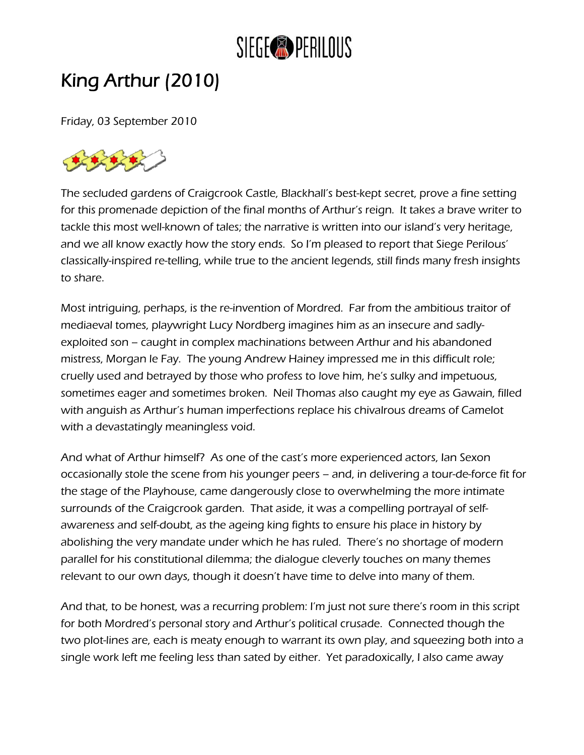

## King Arthur (2010)

Friday, 03 September 2010



The secluded gardens of Craigcrook Castle, Blackhall's best-kept secret, prove a fine setting for this promenade depiction of the final months of Arthur's reign. It takes a brave writer to tackle this most well-known of tales; the narrative is written into our island's very heritage, and we all know exactly how the story ends. So I'm pleased to report that Siege Perilous' classically-inspired re-telling, while true to the ancient legends, still finds many fresh insights to share.

Most intriguing, perhaps, is the re-invention of Mordred. Far from the ambitious traitor of mediaeval tomes, playwright Lucy Nordberg imagines him as an insecure and sadlyexploited son – caught in complex machinations between Arthur and his abandoned mistress, Morgan le Fay. The young Andrew Hainey impressed me in this difficult role; cruelly used and betrayed by those who profess to love him, he's sulky and impetuous, sometimes eager and sometimes broken. Neil Thomas also caught my eye as Gawain, filled with anguish as Arthur's human imperfections replace his chivalrous dreams of Camelot with a devastatingly meaningless void.

And what of Arthur himself? As one of the cast's more experienced actors, Ian Sexon occasionally stole the scene from his younger peers – and, in delivering a tour-de-force fit for the stage of the Playhouse, came dangerously close to overwhelming the more intimate surrounds of the Craigcrook garden. That aside, it was a compelling portrayal of selfawareness and self-doubt, as the ageing king fights to ensure his place in history by abolishing the very mandate under which he has ruled. There's no shortage of modern parallel for his constitutional dilemma; the dialogue cleverly touches on many themes relevant to our own days, though it doesn't have time to delve into many of them.

And that, to be honest, was a recurring problem: I'm just not sure there's room in this script for both Mordred's personal story and Arthur's political crusade. Connected though the two plot-lines are, each is meaty enough to warrant its own play, and squeezing both into a single work left me feeling less than sated by either. Yet paradoxically, I also came away